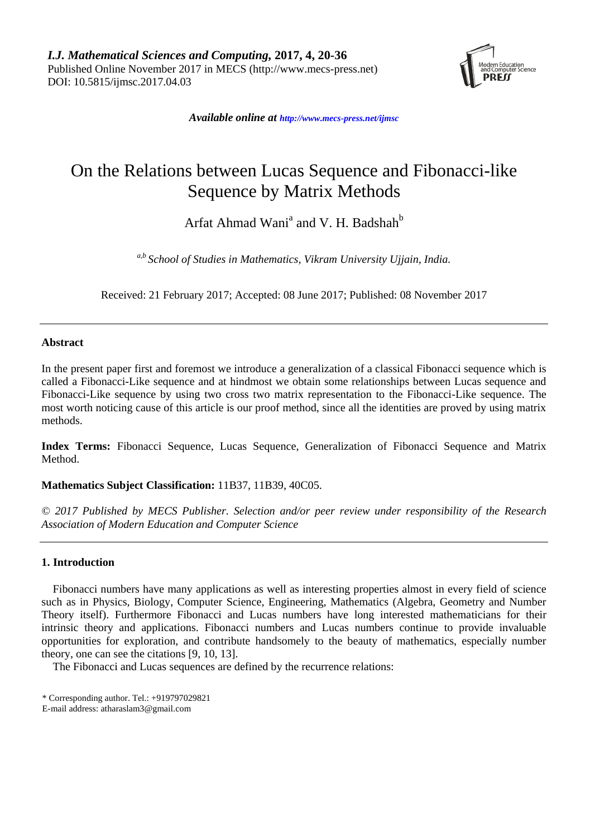

*Available online at [http://www.mecs-press.net/ijm](http://www.mecs-press.net/ijwmt)sc*

# On the Relations between Lucas Sequence and Fibonacci-like Sequence by Matrix Methods

Arfat Ahmad Wani<sup>a</sup> and V. H. Badshah<sup>b</sup>

*a,b School of Studies in Mathematics, Vikram University Ujjain, India.*

Received: 21 February 2017; Accepted: 08 June 2017; Published: 08 November 2017

## **Abstract**

In the present paper first and foremost we introduce a generalization of a classical Fibonacci sequence which is called a Fibonacci-Like sequence and at hindmost we obtain some relationships between Lucas sequence and Fibonacci-Like sequence by using two cross two matrix representation to the Fibonacci-Like sequence. The most worth noticing cause of this article is our proof method, since all the identities are proved by using matrix methods.

**Index Terms:** Fibonacci Sequence, Lucas Sequence, Generalization of Fibonacci Sequence and Matrix **Method** 

**Mathematics Subject Classification:** 11B37, 11B39, 40C05.

*© 2017 Published by MECS Publisher. Selection and/or peer review under responsibility of the Research Association of Modern Education and Computer Science*

## **1. Introduction**

Fibonacci numbers have many applications as well as interesting properties almost in every field of science such as in Physics, Biology, Computer Science, Engineering, Mathematics (Algebra, Geometry and Number Theory itself). Furthermore Fibonacci and Lucas numbers have long interested mathematicians for their intrinsic theory and applications. Fibonacci numbers and Lucas numbers continue to provide invaluable opportunities for exploration, and contribute handsomely to the beauty of mathematics, especially number theory, one can see the citations [9, 10, 13].

The Fibonacci and Lucas sequences are defined by the recurrence relations:

<sup>\*</sup> Corresponding author. Tel.: +919797029821

E-mail address: atharaslam3@gmail.com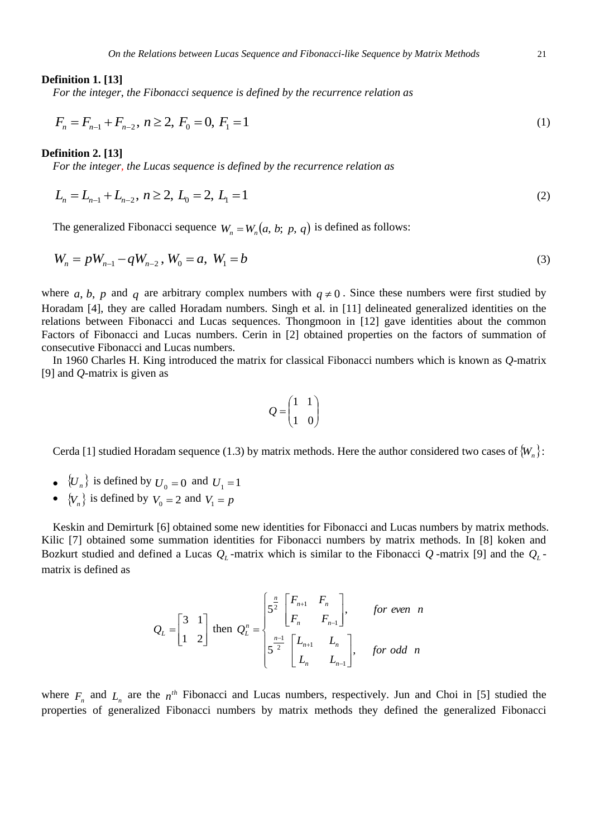#### **Definition 1. [13]**

*For the integer*, *the Fibonacci sequence is defined by the recurrence relation as*

$$
F_n = F_{n-1} + F_{n-2}, n \ge 2, F_0 = 0, F_1 = 1
$$
\n(1)

#### **Definition 2. [13]**

*For the integer, the Lucas sequence is defined by the recurrence relation as*

$$
L_n = L_{n-1} + L_{n-2}, n \ge 2, L_0 = 2, L_1 = 1
$$
\n(2)

The generalized Fibonacci sequence  $W_n = W_n(a, b; p, q)$  is defined as follows:

$$
W_n = pW_{n-1} - qW_{n-2}, W_0 = a, W_1 = b
$$
\n(3)

where a, b, p and q are arbitrary complex numbers with  $q \neq 0$ . Since these numbers were first studied by Horadam [4], they are called Horadam numbers. Singh et al. in [11] delineated generalized identities on the relations between Fibonacci and Lucas sequences. Thongmoon in [12] gave identities about the common Factors of Fibonacci and Lucas numbers. Cerin in [2] obtained properties on the factors of summation of consecutive Fibonacci and Lucas numbers.

In 1960 Charles H. King introduced the matrix for classical Fibonacci numbers which is known as *Q*-matrix [9] and *Q*-matrix is given as

$$
Q = \begin{pmatrix} 1 & 1 \\ 1 & 0 \end{pmatrix}
$$

Cerda [1] studied Horadam sequence (1.3) by matrix methods. Here the author considered two cases of *Wn* :

- $\{U_n\}$  is defined by  $U_0 = 0$  and  $U_1 = 1$
- $\{V_n\}$  is defined by  $V_0 = 2$  and  $V_1 = p$

Keskin and Demirturk [6] obtained some new identities for Fibonacci and Lucas numbers by matrix methods. Kilic [7] obtained some summation identities for Fibonacci numbers by matrix methods. In [8] koken and Bozkurt studied and defined a Lucas  $Q_L$ -matrix which is similar to the Fibonacci  $Q$ -matrix [9] and the  $Q_L$ matrix is defined as

$$
Q_{L} = \begin{bmatrix} 3 & 1 \\ 1 & 2 \end{bmatrix} \text{ then } Q_{L}^{n} = \begin{cases} 5^{\frac{n}{2}} \begin{bmatrix} F_{n+1} & F_{n} \\ F_{n} & F_{n-1} \end{bmatrix}, & \text{for even } n \\ 5^{\frac{n-1}{2}} \begin{bmatrix} L_{n+1} & L_{n} \\ L_{n} & L_{n-1} \end{bmatrix}, & \text{for odd } n \end{cases}
$$

where  $F_n$  and  $L_n$  are the  $n^{th}$  Fibonacci and Lucas numbers, respectively. Jun and Choi in [5] studied the properties of generalized Fibonacci numbers by matrix methods they defined the generalized Fibonacci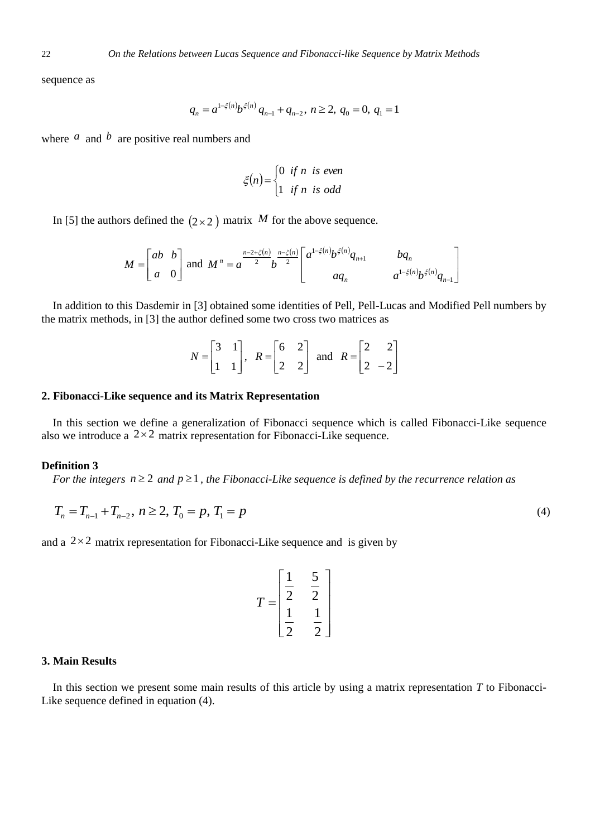sequence as

$$
q_n = a^{1-\xi(n)} b^{\xi(n)} q_{n-1} + q_{n-2}, \ n \ge 2, \ q_0 = 0, \ q_1 = 1
$$

where  $\alpha$  and  $\beta$  are positive real numbers and

$$
\xi(n) = \begin{cases} 0 & \text{if } n \text{ is even} \\ 1 & \text{if } n \text{ is odd} \end{cases}
$$

In [5] the authors defined the  $(2 \times 2)$  matrix M for the above sequence.

$$
M = \begin{bmatrix} ab & b \\ a & 0 \end{bmatrix}
$$
 and 
$$
M^n = a^{\frac{n-2+\xi(n)}{2}} b^{\frac{n-\xi(n)}{2}} \begin{bmatrix} a^{1-\xi(n)} b^{\xi(n)} q_{n+1} & b q_n \\ a q_n & a^{1-\xi(n)} b^{\xi(n)} q_{n-1} \end{bmatrix}
$$

In addition to this Dasdemir in [3] obtained some identities of Pell, Pell-Lucas and Modified Pell numbers by the matrix methods, in [3] the author defined some two cross two matrices as

| $N = \begin{bmatrix} 1 & 1 \end{bmatrix}$ , |  |  | $\begin{bmatrix} R = \begin{bmatrix} 6 & 2 \\ 2 & 2 \end{bmatrix}$ and $R = \begin{bmatrix} 2 & -2 \end{bmatrix}$ |  |  |
|---------------------------------------------|--|--|-------------------------------------------------------------------------------------------------------------------|--|--|

#### **2. Fibonacci-Like sequence and its Matrix Representation**

In this section we define a generalization of Fibonacci sequence which is called Fibonacci-Like sequence also we introduce a  $2 \times 2$  matrix representation for Fibonacci-Like sequence.

## **Definition 3**

For the integers  $n \geq 2$  and  $p \geq 1$ , the Fibonacci-Like sequence is defined by the recurrence relation as

$$
T_n = T_{n-1} + T_{n-2}, \ n \ge 2, \ T_0 = p, \ T_1 = p \tag{4}
$$

and a  $2 \times 2$  matrix representation for Fibonacci-Like sequence and is given by

$$
T = \begin{bmatrix} \frac{1}{2} & \frac{5}{2} \\ \frac{1}{2} & \frac{1}{2} \end{bmatrix}
$$

#### **3. Main Results**

In this section we present some main results of this article by using a matrix representation *T* to Fibonacci-Like sequence defined in equation (4).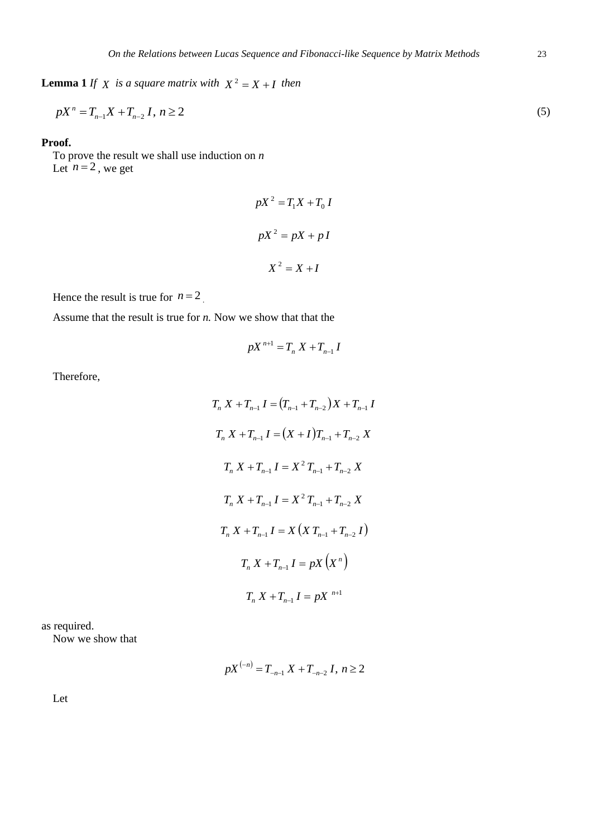**Lemma 1** *If*  $X$  *is a square matrix with*  $X^2 = X + I$  *then* 

$$
pX^{n} = T_{n-1}X + T_{n-2}I, n \ge 2
$$
\n(5)

## **Proof.**

To prove the result we shall use induction on *n* Let  $n = 2$ , we get

$$
pX^{2} = T_{1}X + T_{0}I
$$

$$
pX^{2} = pX + pI
$$

$$
X^{2} = X + I
$$

Hence the result is true for  $n = 2$ .

Assume that the result is true for *n.* Now we show that that the

$$
pX^{n+1}=T_n X+T_{n-1} I
$$

Therefore,

$$
T_n X + T_{n-1} I = (T_{n-1} + T_{n-2}) X + T_{n-1} I
$$
  
\n
$$
T_n X + T_{n-1} I = (X + I) T_{n-1} + T_{n-2} X
$$
  
\n
$$
T_n X + T_{n-1} I = X^2 T_{n-1} + T_{n-2} X
$$
  
\n
$$
T_n X + T_{n-1} I = X^2 T_{n-1} + T_{n-2} X
$$
  
\n
$$
T_n X + T_{n-1} I = X (X T_{n-1} + T_{n-2} I)
$$
  
\n
$$
T_n X + T_{n-1} I = pX (X^n)
$$
  
\n
$$
T_n X + T_{n-1} I = pX^{n+1}
$$

as required.

Now we show that

$$
pX^{(-n)} = T_{-n-1} X + T_{-n-2} I, n \ge 2
$$

Let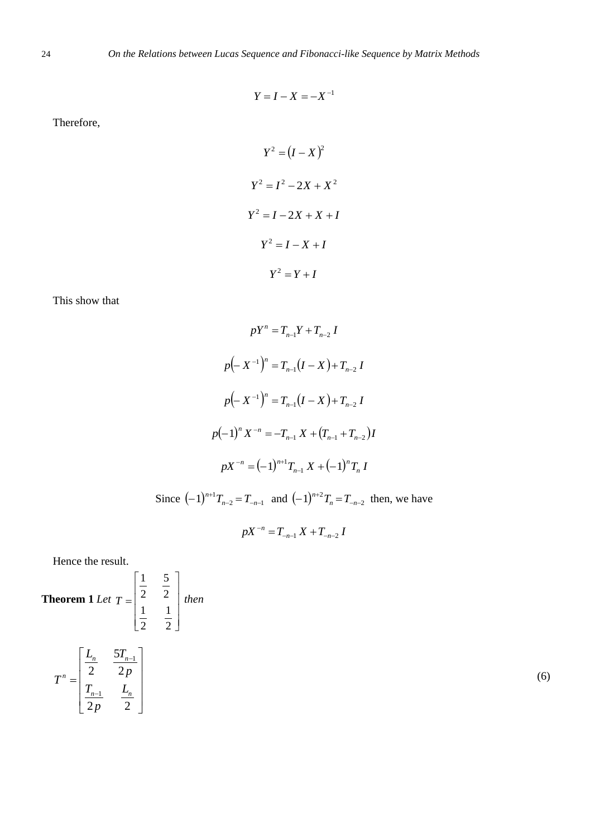$$
Y = I - X = -X^{-1}
$$

Therefore,

$$
Y^{2} = (I - X)^{2}
$$

$$
Y^{2} = I^{2} - 2X + X^{2}
$$

$$
Y^{2} = I - 2X + X + I
$$

$$
Y^{2} = I - X + I
$$

$$
Y^{2} = Y + I
$$

This show that

$$
pY^{n} = T_{n-1}Y + T_{n-2} I
$$
  
\n
$$
p(-X^{-1})^{n} = T_{n-1}(I - X) + T_{n-2} I
$$
  
\n
$$
p(-X^{-1})^{n} = T_{n-1}(I - X) + T_{n-2} I
$$
  
\n
$$
p(-1)^{n} X^{-n} = -T_{n-1} X + (T_{n-1} + T_{n-2}) I
$$
  
\n
$$
pX^{-n} = (-1)^{n+1} T_{n-1} X + (-1)^{n} T_{n} I
$$

Since  $(-1)^{n+1}T_{n-2} = T_{-n-1}$  and  $(-1)^{n+2}T_n = T_{-n-2}$  then, we have

$$
pX^{-n} = T_{-n-1} X + T_{-n-2} I
$$

Hence the result.

**Theorem 1** Let 
$$
T = \begin{bmatrix} \frac{1}{2} & \frac{5}{2} \\ \frac{1}{2} & \frac{1}{2} \end{bmatrix}
$$
 then  

$$
T^n = \begin{bmatrix} \frac{L_n}{2} & \frac{5T_{n-1}}{2p} \\ \frac{T_{n-1}}{2p} & \frac{L_n}{2} \end{bmatrix}
$$
 (6)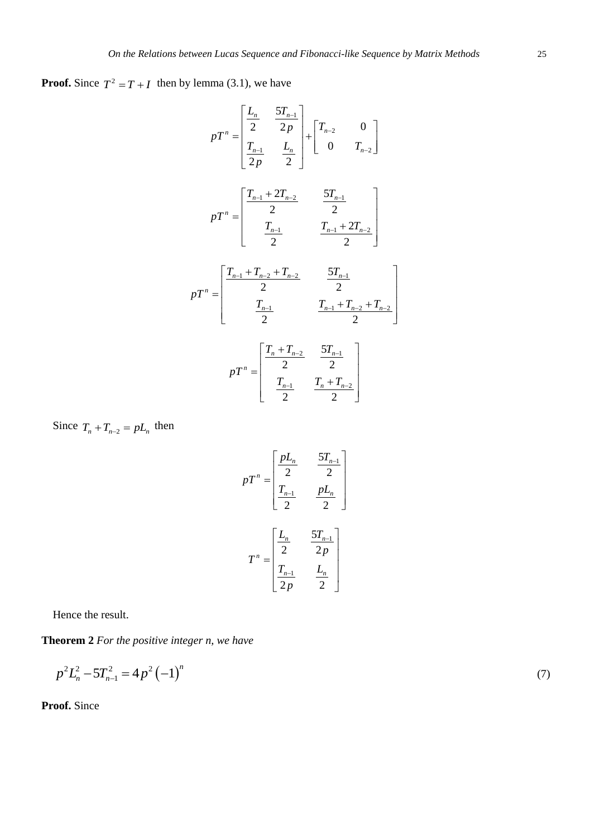**Proof.** Since  $T^2 = T + I$  then by lemma (3.1), we have

$$
pT^{n} = \begin{bmatrix} \frac{L_{n}}{2} & \frac{5T_{n-1}}{2p} \\ \frac{T_{n-1}}{2p} & \frac{L_{n}}{2} \end{bmatrix} + \begin{bmatrix} T_{n-2} & 0 \\ 0 & T_{n-2} \end{bmatrix}
$$

$$
pT^{n} = \begin{bmatrix} \frac{T_{n-1} + 2T_{n-2}}{2} & \frac{5T_{n-1}}{2} \\ \frac{T_{n-1}}{2} & \frac{T_{n-1} + 2T_{n-2}}{2} \end{bmatrix}
$$

$$
pT^{n} = \begin{bmatrix} \frac{T_{n-1} + T_{n-2} + T_{n-2}}{2} & \frac{5T_{n-1}}{2} \\ \frac{T_{n-1}}{2} & \frac{T_{n-1} + T_{n-2} + T_{n-2}}{2} \end{bmatrix}
$$

$$
pT^{n} = \begin{bmatrix} \frac{T_{n} + T_{n-2}}{2} & \frac{5T_{n-1}}{2} \\ \frac{T_{n-1}}{2} & \frac{T_{n} + T_{n-2}}{2} \end{bmatrix}
$$

$$
pT^{n} = \begin{bmatrix} \frac{T_{n} + T_{n-2}}{2} & \frac{5T_{n-1}}{2} \\ \frac{T_{n-1}}{2} & \frac{T_{n} + T_{n-2}}{2} \end{bmatrix}
$$

Since  $T_n + T_{n-2} = pL_n$  then

$$
pT^{n} = \begin{bmatrix} \frac{pL_{n}}{2} & \frac{5T_{n-1}}{2} \\ T_{n-1} & pL_{n} \\ \frac{T_{n-1}}{2} & \frac{pL_{n}}{2} \end{bmatrix}
$$

$$
T^{n} = \begin{bmatrix} \frac{L_{n}}{2} & \frac{5T_{n-1}}{2p} \\ T_{n-1} & \frac{L_{n}}{2} \end{bmatrix}
$$

Hence the result.

**Theorem 2** *For the positive integer n, we have*

$$
p^2 L_n^2 - 5T_{n-1}^2 = 4p^2 (-1)^n \tag{7}
$$

**Proof.** Since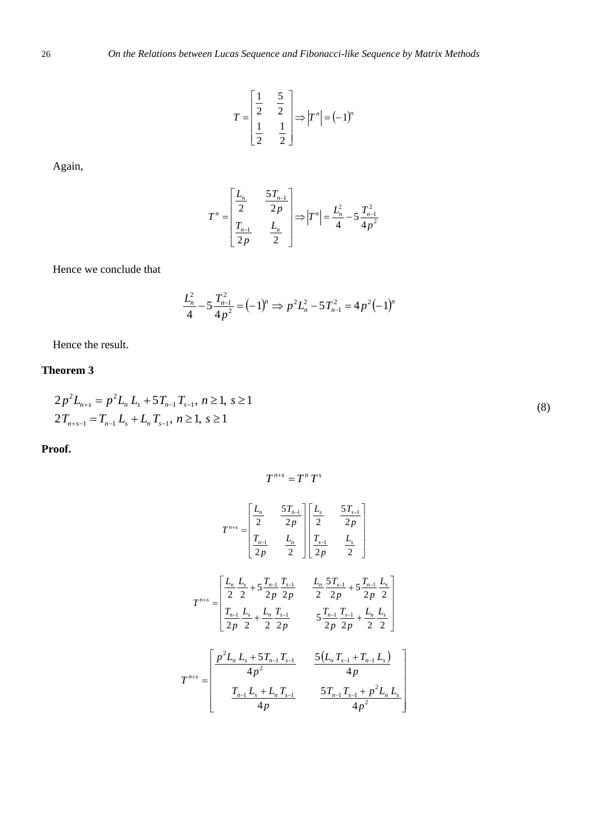$$
T = \begin{bmatrix} \frac{1}{2} & \frac{5}{2} \\ \frac{1}{2} & \frac{1}{2} \end{bmatrix} \Longrightarrow \Big| T^n \Big| = (-1)^n
$$

Again,

$$
T^{n} = \begin{bmatrix} \frac{L_{n}}{2} & \frac{5T_{n-1}}{2p} \\ \frac{T_{n-1}}{2p} & \frac{L_{n}}{2} \end{bmatrix} \Longrightarrow |T^{n}| = \frac{L_{n}^{2}}{4} - 5\frac{T_{n-1}^{2}}{4p^{2}}
$$

Hence we conclude that

$$
\frac{L_n^2}{4} - 5\frac{T_{n-1}^2}{4p^2} = (-1)^n \Rightarrow p^2 L_n^2 - 5T_{n-1}^2 = 4p^2(-1)^n
$$

Hence the result.

## **Theorem 3**

$$
2p^{2}L_{n+s} = p^{2}L_{n}L_{s} + 5T_{n-1}T_{s-1}, n \ge 1, s \ge 1
$$
  

$$
2T_{n+s-1} = T_{n-1}L_{s} + L_{n}T_{s-1}, n \ge 1, s \ge 1
$$
 (8)

**Proof.**

$$
T^{n+s} = T^n T^s
$$
  
\n
$$
T^{n+s} = \begin{bmatrix} \frac{L_n}{2} & \frac{5T_{n-1}}{2p} \\ \frac{T_{n-1}}{2p} & \frac{L_n}{2} \end{bmatrix} \begin{bmatrix} \frac{L_s}{2} & \frac{5T_{s-1}}{2p} \\ \frac{T_{s-1}}{2p} & \frac{L_s}{2} \end{bmatrix}
$$
  
\n
$$
T^{n+s} = \begin{bmatrix} \frac{L_n}{2} \frac{L_s}{2} + 5 \frac{T_{n-1}}{2p} \frac{T_{s-1}}{2p} & \frac{L_n}{2} \frac{5T_{s-1}}{2p} + 5 \frac{T_{n-1}}{2p} \frac{L_s}{2} \\ \frac{T_{n-1}}{2p} \frac{L_s}{2} + \frac{L_n}{2} \frac{T_{s-1}}{2p} & 5 \frac{T_{n-1}}{2p} \frac{T_{s-1}}{2p} + \frac{L_n}{2} \frac{L_s}{2} \end{bmatrix}
$$
  
\n
$$
T^{n+s} = \begin{bmatrix} \frac{p^2 L_n L_s + 5T_{n-1} T_{s-1}}{4p^2} & \frac{5(L_n T_{s-1} + T_{n-1} L_s)}{4p} \\ \frac{T_{n-1} L_s + L_n T_{s-1}}{4p} & \frac{5T_{n-1} T_{s-1} + p^2 L_n L_s}{4p^2} \end{bmatrix}
$$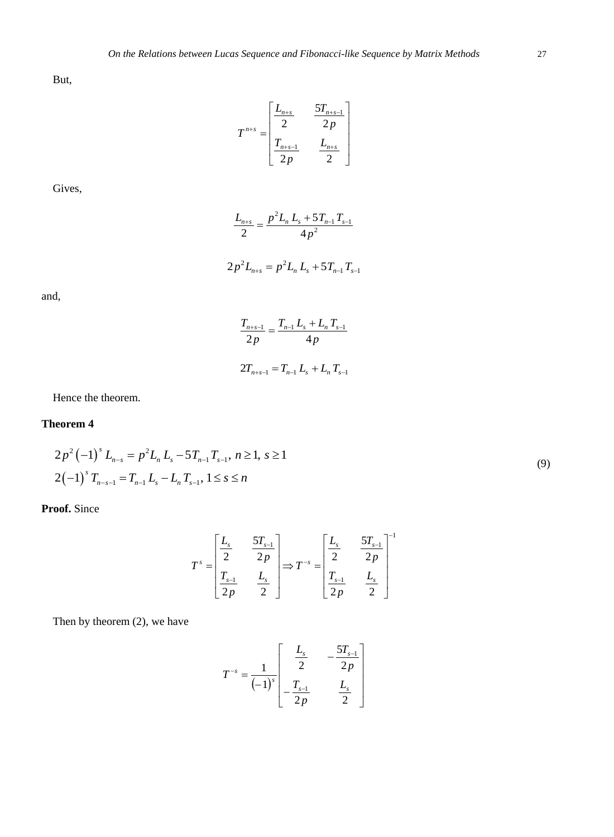But,

$$
T^{n+s} = \begin{bmatrix} \frac{L_{n+s}}{2} & \frac{5T_{n+s-1}}{2p} \\ \frac{T_{n+s-1}}{2p} & \frac{L_{n+s}}{2} \end{bmatrix}
$$

Gives,

$$
\frac{L_{n+s}}{2} = \frac{p^2 L_n L_s + 5T_{n-1} T_{s-1}}{4p^2}
$$

$$
2p^2L_{n+s}=p^2L_nL_s+5T_{n-1}T_{s-1}
$$

and,

$$
\frac{T_{n+s-1}}{2p} = \frac{T_{n-1} L_s + L_n T_{s-1}}{4p}
$$

$$
2T_{n+s-1} = T_{n-1} L_s + L_n T_{s-1}
$$

Hence the theorem.

## **Theorem 4**

$$
2p^{2}(-1)^{s} L_{n-s} = p^{2} L_{n} L_{s} - 5T_{n-1} T_{s-1}, n \ge 1, s \ge 1
$$
  

$$
2(-1)^{s} T_{n-s-1} = T_{n-1} L_{s} - L_{n} T_{s-1}, 1 \le s \le n
$$
  
(9)

**Proof.** Since

$$
T^{s} = \begin{bmatrix} \frac{L_{s}}{2} & \frac{5T_{s-1}}{2p} \\ \frac{T_{s-1}}{2p} & \frac{L_{s}}{2} \end{bmatrix} \Rightarrow T^{-s} = \begin{bmatrix} \frac{L_{s}}{2} & \frac{5T_{s-1}}{2p} \\ \frac{T_{s-1}}{2p} & \frac{L_{s}}{2} \end{bmatrix}^{-1}
$$

Then by theorem (2), we have

$$
T^{-s} = \frac{1}{(-1)^s} \begin{bmatrix} \frac{L_s}{2} & -\frac{5T_{s-1}}{2p} \\ -\frac{T_{s-1}}{2p} & \frac{L_s}{2} \end{bmatrix}
$$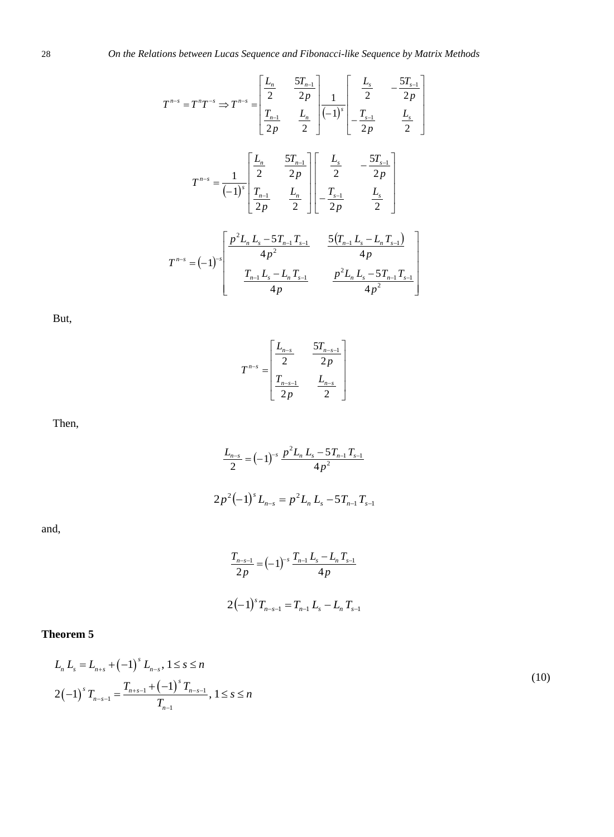$$
T^{n-s} = T^n T^{-s} \Rightarrow T^{n-s} = \begin{bmatrix} \frac{L_n}{2} & \frac{5T_{n-1}}{2p} \\ \frac{T_{n-1}}{2p} & \frac{L_n}{2} \end{bmatrix} \frac{1}{(-1)^s} \begin{bmatrix} \frac{L_s}{2} & -\frac{5T_{s-1}}{2p} \\ -\frac{T_{s-1}}{2p} & \frac{L_s}{2} \end{bmatrix}
$$

$$
T^{n-s} = \frac{1}{(-1)^s} \begin{bmatrix} \frac{L_n}{2} & \frac{5T_{n-1}}{2p} \\ \frac{T_{n-1}}{2p} & \frac{L_n}{2} \end{bmatrix} \begin{bmatrix} \frac{L_s}{2} & -\frac{5T_{s-1}}{2p} \\ -\frac{T_{s-1}}{2p} & \frac{L_s}{2} \end{bmatrix}
$$

$$
T^{n-s} = (-1)^s \begin{bmatrix} \frac{p^2L_nL_s - 5T_{n-1}T_{s-1}}{4p^2} & \frac{5(T_{n-1}L_s - L_nT_{s-1})}{4p} \\ \frac{T_{n-1}L_s - L_nT_{s-1}}{4p} & \frac{p^2L_nL_s - 5T_{n-1}T_{s-1}}{4p^2} \end{bmatrix}
$$

But,

$$
T^{n-s} = \begin{bmatrix} \frac{L_{n-s}}{2} & \frac{5T_{n-s-1}}{2p} \\ \frac{T_{n-s-1}}{2p} & \frac{L_{n-s}}{2} \end{bmatrix}
$$

L

Then,

$$
\frac{L_{n-s}}{2} = (-1)^{-s} \frac{p^2 L_n L_s - 5T_{n-1} T_{s-1}}{4p^2}
$$

$$
2p^2 (-1)^s L_{n-s} = p^2 L_n L_s - 5T_{n-1} T_{s-1}
$$

and,

$$
\frac{T_{n-s-1}}{2p} = (-1)^{-s} \frac{T_{n-1} L_s - L_n T_{s-1}}{4p}
$$

$$
2(-1)^s T_{n-s-1} = T_{n-1} L_s - L_n T_{s-1}
$$

# **Theorem 5**

$$
L_n L_s = L_{n+s} + (-1)^s L_{n-s}, 1 \le s \le n
$$
  

$$
2(-1)^s T_{n-s-1} = \frac{T_{n+s-1} + (-1)^s T_{n-s-1}}{T_{n-1}}, 1 \le s \le n
$$
 (10)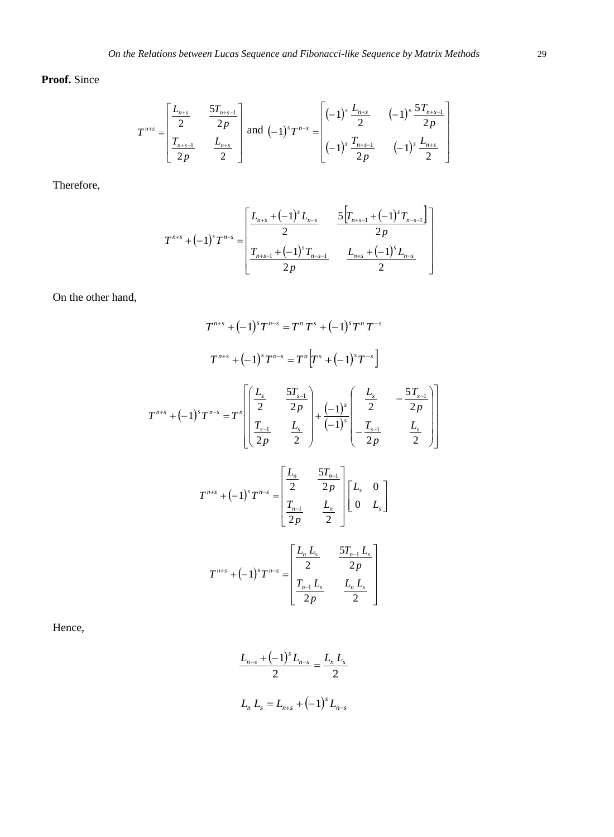## **Proof.** Since

$$
T^{n+s} = \begin{bmatrix} \frac{L_{n+s}}{2} & \frac{5T_{n+s-1}}{2p} \\ \frac{T_{n+s-1}}{2p} & \frac{L_{n+s}}{2} \end{bmatrix} \text{ and } (-1)^s T^{n-s} = \begin{bmatrix} (-1)^s \frac{L_{n+s}}{2} & (-1)^s \frac{5T_{n+s-1}}{2p} \\ (-1)^s \frac{T_{n+s-1}}{2p} & (-1)^s \frac{L_{n+s}}{2} \end{bmatrix}
$$

Therefore,

$$
T^{n+s} + (-1)^s T^{n-s} = \begin{bmatrix} \frac{L_{n+s} + (-1)^s L_{n-s}}{2} & \frac{5}{2} \left[ T_{n+s-1} + (-1)^s T_{n-s-1} \right] \\ \frac{2}{2} & \frac{2}{2} \end{bmatrix}
$$
  
2<sub>p</sub> 
$$
\frac{L_{n+s} + (-1)^s L_{n-s}}{2}
$$

On the other hand,

$$
T^{n+s} + (-1)^s T^{n-s} = T^n T^s + (-1)^s T^n T^{-s}
$$
  
\n
$$
T^{n+s} + (-1)^s T^{n-s} = T^n \left[ T^s + (-1)^s T^{-s} \right]
$$
  
\n
$$
T^{n+s} + (-1)^s T^{n-s} = T^n \left[ \frac{\left( \frac{L_s}{2} - \frac{5T_{s-1}}{2p} \right) + (-1)^s \left( -\frac{L_s}{2} - \frac{5T_{s-1}}{2p} \right) \right]
$$
  
\n
$$
T^{n+s} + (-1)^s T^{n-s} = \left[ \frac{\frac{L_n}{2} - \frac{5T_{n-1}}{2p}}{\frac{2}{2p} - \frac{5T_{n-1}}{2p}} \right] \left[ \frac{L_s}{0} - \frac{0}{L_s} \right]
$$
  
\n
$$
T^{n+s} + (-1)^s T^{n-s} = \left[ \frac{\frac{L_n}{2} - \frac{5T_{n-1}}{2p}}{\frac{2}{2p} - \frac{5T_{n-1}}{2p} - \frac{0}{2p}} \right]
$$
  
\n
$$
T^{n+s} + (-1)^s T^{n-s} = \left[ \frac{\frac{L_n}{2} - \frac{5T_{n-1}}{2p}}{\frac{2}{2p} - \frac{2p}{2}} \right]
$$

Hence,

$$
\frac{L_{n+s} + (-1)^s L_{n-s}}{2} = \frac{L_n L_s}{2}
$$
  

$$
L_n L_s = L_{n+s} + (-1)^s L_{n-s}
$$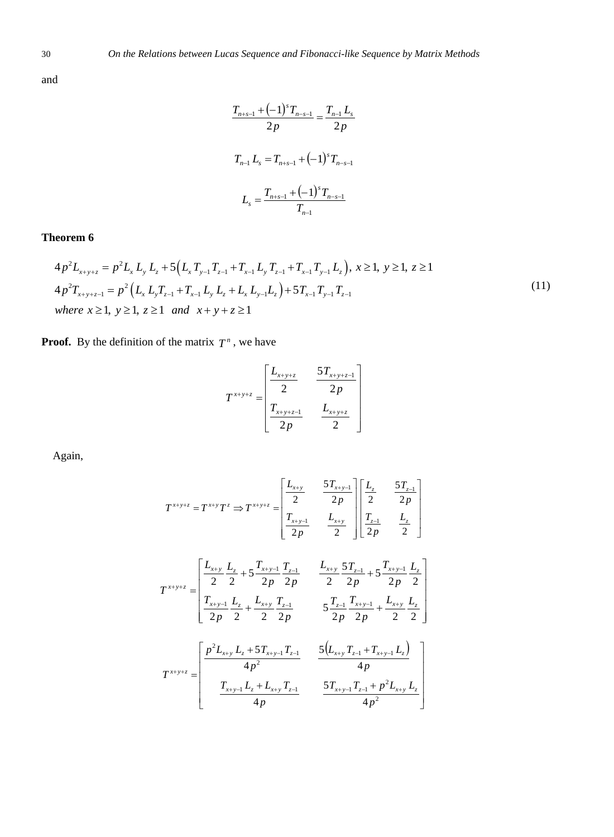and

$$
\frac{T_{n+s-1} + (-1)^s T_{n-s-1}}{2p} = \frac{T_{n-1} L_s}{2p}
$$

$$
T_{n-1} L_s = T_{n+s-1} + (-1)^s T_{n-s-1}
$$

$$
L_s = \frac{T_{n+s-1} + (-1)^s T_{n-s-1}}{T_{n-1}}
$$

**Theorem 6**  
\n
$$
4p^{2}L_{x+y+z} = p^{2}L_{x}L_{y}L_{z} + 5(L_{x}T_{y-1}T_{z-1} + T_{x-1}L_{y}T_{z-1} + T_{x-1}T_{y-1}L_{z}), x \ge 1, y \ge 1, z \ge 1
$$
\n
$$
4p^{2}T_{x+y+z-1} = p^{2}(L_{x}L_{y}T_{z-1} + T_{x-1}L_{y}L_{z} + L_{x}L_{y-1}L_{z}) + 5T_{x-1}T_{y-1}T_{z-1}
$$
\nwhere  $x \ge 1, y \ge 1, z \ge 1$  and  $x + y + z \ge 1$  (11)

**Proof.** By the definition of the matrix  $T^n$ , we have

$$
T^{x+y+z} = \begin{bmatrix} \frac{L_{x+y+z}}{2} & \frac{5T_{x+y+z-1}}{2p} \\ \frac{T_{x+y+z-1}}{2p} & \frac{L_{x+y+z}}{2} \end{bmatrix}
$$

Again,

$$
T^{x+y+z} = T^{x+y}T^z \Rightarrow T^{x+y+z} = \begin{bmatrix} \frac{L_{x+y}}{2} & \frac{5T_{x+y-1}}{2p} \\ \frac{T_{x+y-1}}{2p} & \frac{L_{x+y}}{2} \end{bmatrix} \begin{bmatrix} \frac{L_z}{2} & \frac{5T_{z-1}}{2p} \\ \frac{T_{z-1}}{2p} & \frac{L_z}{2} \end{bmatrix}
$$

$$
T^{x+y+z} = \begin{bmatrix} \frac{L_{x+y}}{2} & \frac{L_z}{2} + 5\frac{T_{x+y-1}}{2p} & \frac{T_{z-1}}{2p} & \frac{L_{x+y}}{2p} & \frac{5T_{z-1}}{2p} + 5\frac{T_{x+y-1}}{2p} & \frac{L_z}{2} \\ \frac{T_{x+y-1}}{2p} & \frac{L_z}{2} + \frac{L_{x+y}}{2p} & \frac{T_{z-1}}{2p} & \frac{5T_{z-1}}{2p} & \frac{T_{x+y-1}}{2p} + \frac{L_{x+y}}{2} & \frac{L_z}{2} \\ \frac{F^2}{2p} & \frac{F^2}{2p} & \frac{F^2}{2p} & \frac{F^2}{2p} & \frac{F^2}{2p} & \frac{F^2}{2p} \end{bmatrix}
$$

$$
T^{x+y+z} = \begin{bmatrix} \frac{p^2L_{x+y}}{4p^2} & \frac{5(L_{x+y}T_{z-1} + T_{x+y-1}L_z)}{4p} \\ \frac{T_{x+y-1}L_z + L_{x+y}T_{z-1}}{4p} & \frac{5T_{x+y-1}T_{z-1} + p^2L_{x+y}L_z}{4p} \end{bmatrix}
$$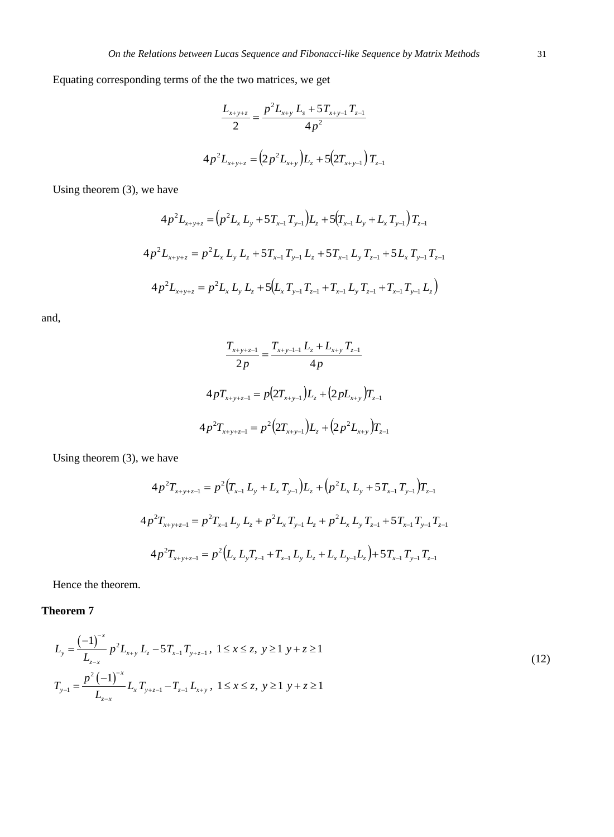Equating corresponding terms of the the two matrices, we get

$$
\frac{L_{x+y+z}}{2} = \frac{p^2 L_{x+y} L_s + 5T_{x+y-1} T_{z-1}}{4p^2}
$$

$$
4p^2 L_{x+y+z} = (2p^2 L_{x+y}) L_z + 5(2T_{x+y-1}) T_{z-1}
$$

Using theorem (3), we have

$$
4p^{2}L_{x+y+z} = (p^{2}L_{x}L_{y} + 5T_{x-1}T_{y-1})L_{z} + 5(T_{x-1}L_{y} + L_{x}T_{y-1})T_{z-1}
$$
  
\n
$$
4p^{2}L_{x+y+z} = p^{2}L_{x}L_{y}L_{z} + 5T_{x-1}T_{y-1}L_{z} + 5T_{x-1}L_{y}T_{z-1} + 5L_{x}T_{y-1}T_{z-1}
$$
  
\n
$$
4p^{2}L_{x+y+z} = p^{2}L_{x}L_{y}L_{z} + 5(L_{x}T_{y-1}T_{z-1} + T_{x-1}L_{y}T_{z-1} + T_{x-1}T_{y-1}L_{z})
$$

and,

$$
\frac{T_{x+y+z-1}}{2p} = \frac{T_{x+y-1}}{4p} \frac{L_z + L_{x+y} T_{z-1}}{4p}
$$

$$
4pT_{x+y+z-1} = p(2T_{x+y-1})L_z + (2pL_{x+y})T_{z-1}
$$

$$
4p^2T_{x+y+z-1} = p^2(2T_{x+y-1})L_z + (2p^2L_{x+y})T_{z-1}
$$

Using theorem (3), we have

$$
4p^{2}T_{x+y+z-1} = p^{2}(T_{x-1}L_{y} + L_{x}T_{y-1})L_{z} + (p^{2}L_{x}L_{y} + 5T_{x-1}T_{y-1})T_{z-1}
$$

$$
4p^{2}T_{x+y+z-1} = p^{2}T_{x-1}L_{y}L_{z} + p^{2}L_{x}T_{y-1}L_{z} + p^{2}L_{x}L_{y}T_{z-1} + 5T_{x-1}T_{y-1}T_{z-1}
$$

$$
4p^{2}T_{x+y+z-1} = p^{2}(L_{x}L_{y}T_{z-1} + T_{x-1}L_{y}L_{z} + L_{x}L_{y-1}L_{z}) + 5T_{x-1}T_{y-1}T_{z-1}
$$

Hence the theorem.

**Theorem 7** 

$$
L_{y} = \frac{(-1)^{-x}}{L_{z-x}} p^{2} L_{x+y} L_{z} - 5T_{x-1} T_{y+z-1}, \ 1 \le x \le z, \ y \ge 1 \ y+z \ge 1
$$
  
\n
$$
T_{y-1} = \frac{p^{2} (-1)^{-x}}{L_{z-x}} L_{x} T_{y+z-1} - T_{z-1} L_{x+y}, \ 1 \le x \le z, \ y \ge 1 \ y+z \ge 1
$$
\n(12)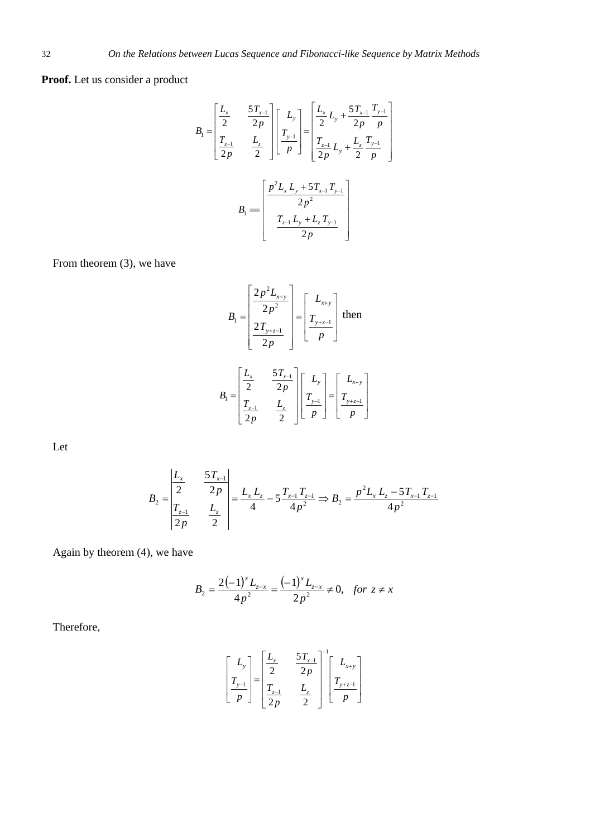# **Proof.** Let us consider a product

$$
B_{1} = \begin{bmatrix} \frac{L_{x}}{2} & \frac{5T_{x-1}}{2p} \\ \frac{T_{z-1}}{2p} & \frac{L_{z}}{2} \end{bmatrix} \begin{bmatrix} L_{y} \\ T_{y-1} \\ p \end{bmatrix} = \begin{bmatrix} \frac{L_{x}}{2}L_{y} + \frac{5T_{x-1}}{2p} \frac{T_{y-1}}{p} \\ \frac{T_{z-1}}{2p}L_{y} + \frac{L_{z}}{2} \frac{T_{y-1}}{p} \end{bmatrix}
$$

$$
B_{1} = \begin{bmatrix} \frac{p^{2}L_{x}L_{y} + 5T_{x-1}T_{y-1}}{2p^{2}} \\ \frac{T_{z-1}L_{y} + L_{z}T_{y-1}}{2p} \end{bmatrix}
$$

From theorem (3), we have

$$
B_{1} = \begin{bmatrix} \frac{2p^{2}L_{x+y}}{2p^{2}} \\ \frac{2T_{y+z-1}}{2p} \end{bmatrix} = \begin{bmatrix} L_{x+y} \\ T_{y+z-1} \end{bmatrix} \text{ then}
$$

$$
B_{1} = \begin{bmatrix} \frac{L_{x}}{2} & \frac{5T_{x-1}}{2p} \\ \frac{T_{z-1}}{2p} & \frac{L_{z}}{2} \end{bmatrix} \begin{bmatrix} L_{y} \\ T_{y-1} \end{bmatrix} = \begin{bmatrix} L_{x+y} \\ T_{y+z-1} \\ p \end{bmatrix}
$$

Let

$$
B_2 = \begin{vmatrix} \frac{L_x}{2} & \frac{5T_{x-1}}{2p} \\ \frac{T_{z-1}}{2p} & \frac{L_z}{2} \end{vmatrix} = \frac{L_x L_z}{4} - 5\frac{T_{x-1}T_{z-1}}{4p^2} \Rightarrow B_2 = \frac{p^2 L_x L_z - 5T_{x-1}T_{z-1}}{4p^2}
$$

Again by theorem (4), we have

$$
B_2 = \frac{2(-1)^x L_{z-x}}{4p^2} = \frac{(-1)^x L_{z-x}}{2p^2} \neq 0, \text{ for } z \neq x
$$

Therefore,

$$
\begin{bmatrix} L_{y} \\ T_{y-1} \\ p \end{bmatrix} = \begin{bmatrix} \frac{L_{x}}{2} & \frac{5T_{x-1}}{2p} \\ \frac{T_{z-1}}{2p} & \frac{L_{z}}{2} \end{bmatrix}^{-1} \begin{bmatrix} L_{x+y} \\ T_{y+z-1} \\ p \end{bmatrix}
$$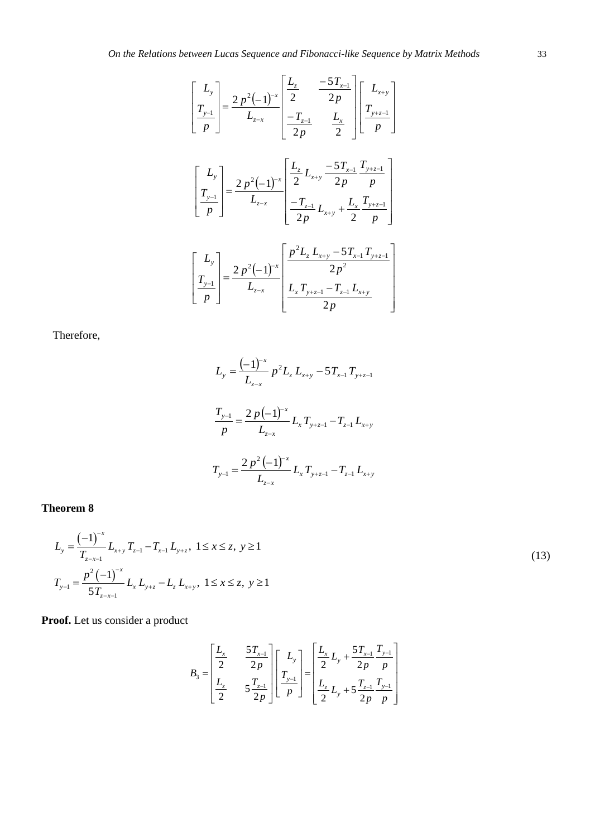$$
\begin{bmatrix} L_y \\ T_{y-1} \\ p \end{bmatrix} = \frac{2 p^2 (-1)^{-x}}{L_{z-x}} \begin{bmatrix} \frac{L_z}{2} & \frac{-5T_{x-1}}{2p} \\ -\frac{T_{z-1}}{2p} & \frac{L_x}{2} \end{bmatrix} \begin{bmatrix} L_{x+y} \\ T_{y+z-1} \\ p \end{bmatrix}
$$

$$
\begin{bmatrix} L_y \\ T_{y-1} \\ p \end{bmatrix} = \frac{2 p^2 (-1)^{-x}}{L_{z-x}} \begin{bmatrix} \frac{L_z}{2} L_{x+y} & \frac{-5T_{x-1}}{2p} \frac{T_{y+z-1}}{p} \\ -\frac{T_{z-1}}{2p} L_{x+y} + \frac{L_x}{2} \frac{T_{y+z-1}}{p} \end{bmatrix}
$$

$$
\begin{bmatrix} L_y \\ T_{y-1} \\ p \end{bmatrix} = \frac{2 p^2 (-1)^{-x}}{L_{z-x}} \begin{bmatrix} \frac{p^2 L_z L_{x+y} - 5T_{x-1} T_{y+z-1}}{2p^2} \\ \frac{L_x T_{y+z-1} - T_{z-1} L_{x+y}}{2p} \end{bmatrix}
$$

Therefore,

$$
L_{y} = \frac{(-1)^{x}}{L_{z-x}} p^{2} L_{z} L_{x+y} - 5T_{x-1} T_{y+z-1}
$$

$$
\frac{T_{y-1}}{p} = \frac{2 p (-1)^{x}}{L_{z-x}} L_{x} T_{y+z-1} - T_{z-1} L_{x+y}
$$

$$
T_{y-1} = \frac{2 p^{2} (-1)^{x}}{L_{z-x}} L_{x} T_{y+z-1} - T_{z-1} L_{x+y}
$$

**Theorem 8**

$$
L_{y} = \frac{(-1)^{-x}}{T_{z-x-1}} L_{x+y} T_{z-1} - T_{x-1} L_{y+z}, \ 1 \le x \le z, \ y \ge 1
$$
  
\n
$$
T_{y-1} = \frac{p^{2} (-1)^{-x}}{5T_{z-x-1}} L_{x} L_{y+z} - L_{z} L_{x+y}, \ 1 \le x \le z, \ y \ge 1
$$
\n(13)

**Proof.** Let us consider a product

$$
B_3 = \begin{bmatrix} \frac{L_x}{2} & \frac{5T_{x-1}}{2p} \\ \frac{L_z}{2} & 5\frac{T_{z-1}}{2p} \end{bmatrix} \begin{bmatrix} L_y \\ T_{y-1} \\ p \end{bmatrix} = \begin{bmatrix} \frac{L_x}{2}L_y + \frac{5T_{x-1}}{2p} \frac{T_{y-1}}{p} \\ \frac{L_z}{2}L_y + 5\frac{T_{z-1}}{2p} \frac{T_{y-1}}{p} \end{bmatrix}
$$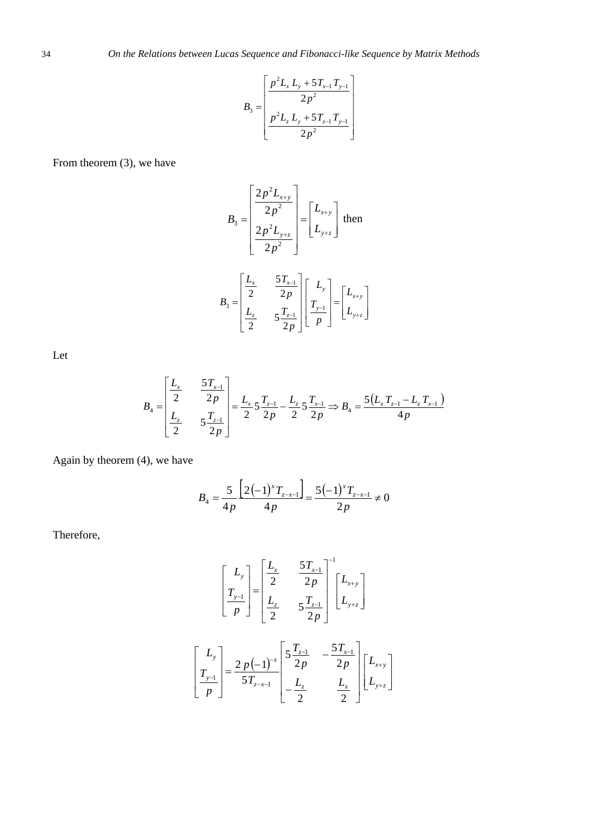$$
B_3 = \left[ \frac{\frac{p^2 L_x L_y + 5T_{x-1} T_{y-1}}{2p^2}}{\frac{p^2 L_z L_y + 5T_{z-1} T_{y-1}}{2p^2}} \right]
$$

From theorem (3), we have

$$
B_{3} = \begin{bmatrix} \frac{2p^{2}L_{x+y}}{2p^{2}} \\ \frac{2p^{2}L_{y+z}}{2p^{2}} \end{bmatrix} = \begin{bmatrix} L_{x+y} \\ L_{y+z} \end{bmatrix}
$$
 then  

$$
B_{3} = \begin{bmatrix} \frac{L_{x}}{2} & \frac{5T_{x-1}}{2p} \\ \frac{L_{z}}{2} & 5\frac{T_{z-1}}{2p} \end{bmatrix} \begin{bmatrix} L_{y} \\ \frac{T_{y-1}}{p} \end{bmatrix} = \begin{bmatrix} L_{x+y} \\ L_{y+z} \end{bmatrix}
$$

Let

$$
B_4 = \begin{bmatrix} \frac{L_x}{2} & \frac{5T_{x-1}}{2p} \\ \frac{L_z}{2} & 5\frac{T_{z-1}}{2p} \end{bmatrix} = \frac{L_x}{2} 5\frac{T_{z-1}}{2p} - \frac{L_z}{2} 5\frac{T_{x-1}}{2p} \Rightarrow B_4 = \frac{5(L_x T_{z-1} - L_z T_{x-1})}{4p}
$$

Again by theorem (4), we have

$$
B_4 = \frac{5}{4p} \frac{\left[2(-1)^x T_{z-x-1}\right]}{4p} = \frac{5(-1)^x T_{z-x-1}}{2p} \neq 0
$$

Therefore,

$$
\begin{bmatrix} L_{y} \\ T_{y-1} \\ p \end{bmatrix} = \begin{bmatrix} \frac{L_{x}}{2} & \frac{5T_{x-1}}{2p} \\ \frac{L_{z}}{2} & 5\frac{T_{z-1}}{2p} \end{bmatrix}^{-1} \begin{bmatrix} L_{x+y} \\ L_{y+z} \end{bmatrix}
$$

$$
\begin{bmatrix} L_{y} \\ T_{y-1} \\ p \end{bmatrix} = \frac{2p(-1)^{-x}}{5T_{z-x-1}} \begin{bmatrix} 5\frac{T_{z-1}}{2p} & -\frac{5T_{x-1}}{2p} \\ -\frac{L_{z}}{2} & \frac{L_{x}}{2} \end{bmatrix} \begin{bmatrix} L_{x+y} \\ L_{y+z} \end{bmatrix}
$$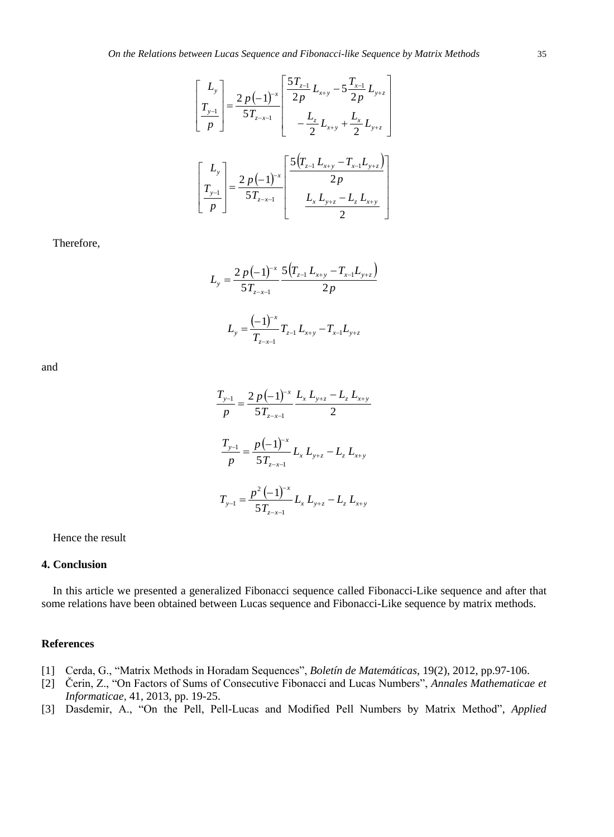$$
\begin{bmatrix} L_{y} \\ T_{y-1} \\ p \end{bmatrix} = \frac{2 p (-1)^{-x}}{5 T_{z-x-1}} \begin{bmatrix} \frac{5 T_{z-1}}{2 p} L_{x+y} - 5 \frac{T_{x-1}}{2 p} L_{y+z} \\ - \frac{L_{z}}{2} L_{x+y} + \frac{L_{x}}{2} L_{y+z} \end{bmatrix}
$$

$$
\begin{bmatrix} L_{y} \\ T_{y-1} \\ p \end{bmatrix} = \frac{2 p (-1)^{-x}}{5 T_{z-x-1}} \begin{bmatrix} \frac{5 (T_{z-1} L_{x+y} - T_{x-1} L_{y+z})}{2 p} \\ \frac{L_{x} L_{y+z} - L_{z} L_{x+y}}{2} \end{bmatrix}
$$

Therefore,

$$
L_{y} = \frac{2 p (-1)^{-x}}{5 T_{z-x-1}} \frac{5 (T_{z-1} L_{x+y} - T_{x-1} L_{y+z})}{2 p}
$$

$$
L_{y} = \frac{(-1)^{-x}}{T_{z-x-1}} T_{z-1} L_{x+y} - T_{x-1} L_{y+z}
$$

and

$$
\frac{T_{y-1}}{p} = \frac{2p(-1)^{-x}}{5T_{z-x-1}} \frac{L_x L_{y+z} - L_z L_{x+y}}{2}
$$

$$
\frac{T_{y-1}}{p} = \frac{p(-1)^{-x}}{5T_{z-x-1}} L_x L_{y+z} - L_z L_{x+y}
$$

$$
T_{y-1} = \frac{p^2(-1)^{-x}}{5T_{z-x-1}} L_x L_{y+z} - L_z L_{x+y}
$$

Hence the result

## **4. Conclusion**

In this article we presented a generalized Fibonacci sequence called Fibonacci-Like sequence and after that some relations have been obtained between Lucas sequence and Fibonacci-Like sequence by matrix methods.

#### **References**

- [1] Cerda, G., "Matrix Methods in Horadam Sequences", *Boletín de Matemáticas*, 19(2), 2012, pp.97-106.
- [2] Čerin, Z., "On Factors of Sums of Consecutive Fibonacci and Lucas Numbers", *Annales Mathematicae et Informaticae*, 41, 2013, pp. 19-25.
- [3] Dasdemir, A., "On the Pell, Pell-Lucas and Modified Pell Numbers by Matrix Method", *Applied*